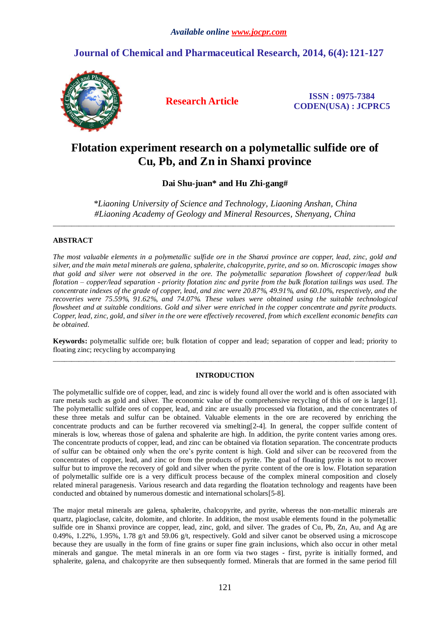## **Journal of Chemical and Pharmaceutical Research, 2014, 6(4):121-127**



**Research Article ISSN : 0975-7384 CODEN(USA) : JCPRC5**

# **Flotation experiment research on a polymetallic sulfide ore of Cu, Pb, and Zn in Shanxi province**

**Dai Shu-juan\* and Hu Zhi-gang#**

*\*Liaoning University of Science and Technology, Liaoning Anshan, China #Liaoning Academy of Geology and Mineral Resources, Shenyang, China*

\_\_\_\_\_\_\_\_\_\_\_\_\_\_\_\_\_\_\_\_\_\_\_\_\_\_\_\_\_\_\_\_\_\_\_\_\_\_\_\_\_\_\_\_\_\_\_\_\_\_\_\_\_\_\_\_\_\_\_\_\_\_\_\_\_\_\_\_\_\_\_\_\_\_\_\_\_\_\_\_\_\_\_\_\_\_\_\_\_\_\_\_\_

## **ABSTRACT**

*The most valuable elements in a polymetallic sulfide ore in the Shanxi province are copper, lead, zinc, gold and silver, and the main metal minerals are galena, sphalerite, chalcopyrite, pyrite, and so on. Microscopic images show that gold and silver were not observed in the ore. The polymetallic separation flowsheet of copper/lead bulk flotation – copper/lead separation - priority flotation zinc and pyrite from the bulk flotation tailings was used. The concentrate indexes of the grade of copper, lead, and zinc were 20.87%, 49.91%, and 60.10%, respectively, and the recoveries were 75.59%, 91.62%, and 74.07%. These values were obtained using the suitable technological flowsheet and at suitable conditions. Gold and silver were enriched in the copper concentrate and pyrite products. Copper, lead, zinc, gold, and silver in the ore were effectively recovered, from which excellent economic benefits can be obtained.* 

**Keywords:** polymetallic sulfide ore; bulk flotation of copper and lead; separation of copper and lead; priority to floating zinc; recycling by accompanying \_\_\_\_\_\_\_\_\_\_\_\_\_\_\_\_\_\_\_\_\_\_\_\_\_\_\_\_\_\_\_\_\_\_\_\_\_\_\_\_\_\_\_\_\_\_\_\_\_\_\_\_\_\_\_\_\_\_\_\_\_\_\_\_\_\_\_\_\_\_\_\_\_\_\_\_\_\_\_\_\_\_\_\_\_\_\_\_\_\_\_\_\_

## **INTRODUCTION**

The polymetallic sulfide ore of copper, lead, and zinc is widely found all over the world and is often associated with rare metals such as gold and silver. The economic value of the comprehensive recycling of this of ore is large[1]. The polymetallic sulfide ores of copper, lead, and zinc are usually processed via flotation, and the concentrates of these three metals and sulfur can be obtained. Valuable elements in the ore are recovered by enriching the concentrate products and can be further recovered via smelting[2-4]. In general, the copper sulfide content of minerals is low, whereas those of galena and sphalerite are high. In addition, the pyrite content varies among ores. The concentrate products of copper, lead, and zinc can be obtained via flotation separation. The concentrate products of sulfur can be obtained only when the ore's pyrite content is high. Gold and silver can be recovered from the concentrates of copper, lead, and zinc or from the products of pyrite. The goal of floating pyrite is not to recover sulfur but to improve the recovery of gold and silver when the pyrite content of the ore is low. Flotation separation of polymetallic sulfide ore is a very difficult process because of the complex mineral composition and closely related mineral paragenesis. Various research and data regarding the floatation technology and reagents have been conducted and obtained by numerous domestic and international scholars[5-8].

The major metal minerals are galena, sphalerite, chalcopyrite, and pyrite, whereas the non-metallic minerals are quartz, plagioclase, calcite, dolomite, and chlorite. In addition, the most usable elements found in the polymetallic sulfide ore in Shanxi province are copper, lead, zinc, gold, and silver. The grades of Cu, Pb, Zn, Au, and Ag are 0.49%, 1.22%, 1.95%, 1.78 g/t and 59.06 g/t, respectively. Gold and silver canot be observed using a microscope because they are usually in the form of fine grains or super fine grain inclusions, which also occur in other metal minerals and gangue. The metal minerals in an ore form via two stages - first, pyrite is initially formed, and sphalerite, galena, and chalcopyrite are then subsequently formed. Minerals that are formed in the same period fill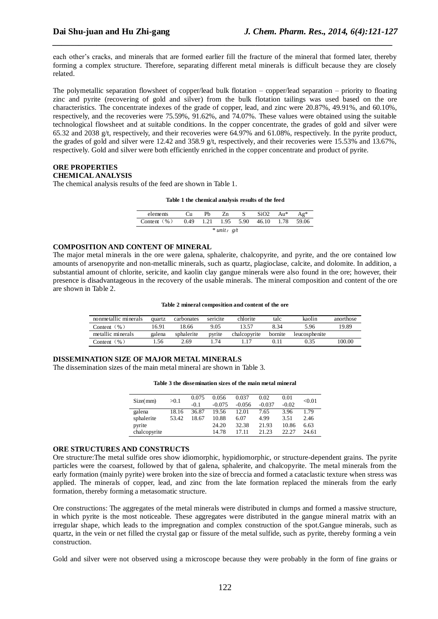each other's cracks, and minerals that are formed earlier fill the fracture of the mineral that formed later, thereby forming a complex structure. Therefore, separating different metal minerals is difficult because they are closely related.

*\_\_\_\_\_\_\_\_\_\_\_\_\_\_\_\_\_\_\_\_\_\_\_\_\_\_\_\_\_\_\_\_\_\_\_\_\_\_\_\_\_\_\_\_\_\_\_\_\_\_\_\_\_\_\_\_\_\_\_\_\_\_\_\_\_\_\_\_\_\_\_\_\_\_\_\_\_*

The polymetallic separation flowsheet of copper/lead bulk flotation – copper/lead separation – priority to floating zinc and pyrite (recovering of gold and silver) from the bulk flotation tailings was used based on the ore characteristics. The concentrate indexes of the grade of copper, lead, and zinc were 20.87%, 49.91%, and 60.10%, respectively, and the recoveries were 75.59%, 91.62%, and 74.07%. These values were obtained using the suitable technological flowsheet and at suitable conditions. In the copper concentrate, the grades of gold and silver were 65.32 and 2038 g/t, respectively, and their recoveries were 64.97% and 61.08%, respectively. In the pyrite product, the grades of gold and silver were 12.42 and 358.9 g/t, respectively, and their recoveries were 15.53% and 13.67%, respectively. Gold and silver were both efficiently enriched in the copper concentrate and product of pyrite.

#### **ORE PROPERTIES CHEMICAL ANALYSIS**

The chemical analysis results of the feed are shown in Table 1.

#### **Table 1 the chemical analysis results of the feed**

| elements        | ેu   | Ph   | Zn   |      | SiO2  | Au*  | Ag*   |  |  |  |
|-----------------|------|------|------|------|-------|------|-------|--|--|--|
| Content $(\% )$ | 0.49 | 1.21 | 1.95 | 5.90 | 46.10 | 1.78 | 59.06 |  |  |  |
| $*$ unit: $g/t$ |      |      |      |      |       |      |       |  |  |  |

#### **COMPOSITION AND CONTENT OF MINERAL**

The major metal minerals in the ore were galena, sphalerite, chalcopyrite, and pyrite, and the ore contained low amounts of arsenopyrite and non-metallic minerals, such as quartz, plagioclase, calcite, and dolomite. In addition, a substantial amount of chlorite, sericite, and kaolin clay gangue minerals were also found in the ore; however, their presence is disadvantageous in the recovery of the usable minerals. The mineral composition and content of the ore are shown in Table 2.

#### **Table 2 mineral composition and content of the ore**

| nonmetallic minerals | quartz | carbonates | sericite | chlorite     | talc    | kaolin        | anorthose |
|----------------------|--------|------------|----------|--------------|---------|---------------|-----------|
| Content $(\% )$      | 16.91  | 18.66      | 9.05     |              | 8.34    | 5.96          | 19.89     |
| metallic minerals    | galena | sphalerite | pyrite   | chalcopyrite | bornite | leucosphenite |           |
| Content (%)          | .56    | 2.69       | .74      |              |         |               | 100.00    |

#### **DISSEMINATION SIZE OF MAJOR METAL MINERALS**

The dissemination sizes of the main metal mineral are shown in Table 3.

|  | Table 3 the dissemination sizes of the main metal mineral |  |  |  |  |
|--|-----------------------------------------------------------|--|--|--|--|
|--|-----------------------------------------------------------|--|--|--|--|

| Size(mm)     | >0.1  | 0.075  | 0.056    | 0.037    | 0.02     | 0.01    | < 0.01 |
|--------------|-------|--------|----------|----------|----------|---------|--------|
|              |       | $-0.1$ | $-0.075$ | $-0.056$ | $-0.037$ | $-0.02$ |        |
| galena       | 18.16 | 36.87  | 19.56    | 12.01    | 7.65     | 3.96    | 1.79   |
| sphalerite   | 53.42 | 18.67  | 10.88    | 6.07     | 4.99     | 3.51    | 2.46   |
| pyrite       |       |        | 24.20    | 32.38    | 21.93    | 10.86   | 6.63   |
| chalcopyrite |       |        | 14.78    | 17.11    | 21.23    | 22.27   | 24.61  |

#### **ORE STRUCTURES AND CONSTRUCTS**

Ore structure:The metal sulfide ores show idiomorphic, hypidiomorphic, or structure-dependent grains. The pyrite particles were the coarsest, followed by that of galena, sphalerite, and chalcopyrite. The metal minerals from the early formation (mainly pyrite) were broken into the size of breccia and formed a cataclastic texture when stress was applied. The minerals of copper, lead, and zinc from the late formation replaced the minerals from the early formation, thereby forming a metasomatic structure.

Ore constructions: The aggregates of the metal minerals were distributed in clumps and formed a massive structure, in which pyrite is the most noticeable. These aggregates were distributed in the gangue mineral matrix with an irregular shape, which leads to the impregnation and complex construction of the spot.Gangue minerals, such as quartz, in the vein or net filled the crystal gap or fissure of the metal sulfide, such as pyrite, thereby forming a vein construction.

Gold and silver were not observed using a microscope because they were probably in the form of fine grains or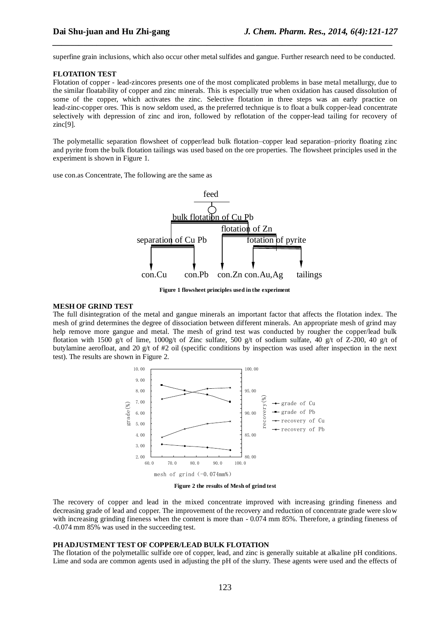superfine grain inclusions, which also occur other metal sulfides and gangue. Further research need to be conducted.

*\_\_\_\_\_\_\_\_\_\_\_\_\_\_\_\_\_\_\_\_\_\_\_\_\_\_\_\_\_\_\_\_\_\_\_\_\_\_\_\_\_\_\_\_\_\_\_\_\_\_\_\_\_\_\_\_\_\_\_\_\_\_\_\_\_\_\_\_\_\_\_\_\_\_\_\_\_*

#### **FLOTATION TEST**

Flotation of copper - lead-zincores presents one of the most complicated problems in base metal metallurgy, due to the similar floatability of copper and zinc minerals. This is especially true when oxidation has caused dissolution of some of the copper, which activates the zinc. Selective flotation in three steps was an early practice on lead-zinc-copper ores. This is now seldom used, as the preferred technique is to float a bulk copper-lead concentrate selectively with depression of zinc and iron, followed by reflotation of the copper-lead tailing for recovery of zinc[9].

The polymetallic separation flowsheet of copper/lead bulk flotation–copper lead separation–priority floating zinc and pyrite from the bulk flotation tailings was used based on the ore properties. The flowsheet principles used in the experiment is shown in Figure 1.

use con.as Concentrate, The following are the same as



**Figure 1 flowsheet principles used in the experiment**

#### **MESH OF GRIND TEST**

The full disintegration of the metal and gangue minerals an important factor that affects the flotation index. The mesh of grind determines the degree of dissociation between different minerals. An appropriate mesh of grind may help remove more gangue and metal. The mesh of grind test was conducted by rougher the copper/lead bulk flotation with 1500 g/t of lime, 1000g/t of Zinc sulfate, 500 g/t of sodium sulfate, 40 g/t of Z-200, 40 g/t of butylamine aerofloat, and 20 g/t of #2 oil (specific conditions by inspection was used after inspection in the next test). The results are shown in Figure 2.



**Figure 2 the results of Mesh of grind test**

The recovery of copper and lead in the mixed concentrate improved with increasing grinding fineness and decreasing grade of lead and copper. The improvement of the recovery and reduction of concentrate grade were slow with increasing grinding fineness when the content is more than  $-0.074$  mm 85%. Therefore, a grinding fineness of -0.074 mm 85% was used in the succeeding test.

#### **PH ADJUSTMENT TEST OF COPPER/LEAD BULK FLOTATION**

The flotation of the polymetallic sulfide ore of copper, lead, and zinc is generally suitable at alkaline pH conditions. Lime and soda are common agents used in adjusting the pH of the slurry. These agents were used and the effects of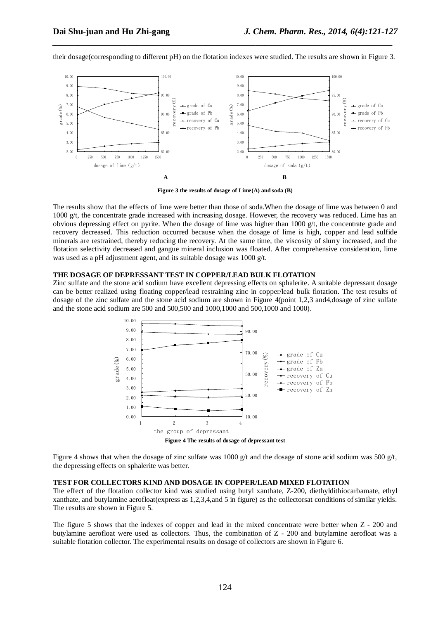

their dosage(corresponding to different pH) on the flotation indexes were studied. The results are shown in Figure 3.

*\_\_\_\_\_\_\_\_\_\_\_\_\_\_\_\_\_\_\_\_\_\_\_\_\_\_\_\_\_\_\_\_\_\_\_\_\_\_\_\_\_\_\_\_\_\_\_\_\_\_\_\_\_\_\_\_\_\_\_\_\_\_\_\_\_\_\_\_\_\_\_\_\_\_\_\_\_*

**Figure 3 the results of dosage of Lime(A) and soda (B)**

The results show that the effects of lime were better than those of soda.When the dosage of lime was between 0 and 1000  $g/t$ , the concentrate grade increased with increasing dosage. However, the recovery was reduced. Lime has an obvious depressing effect on pyrite. When the dosage of lime was higher than  $1000 \text{ g/t}$ , the concentrate grade and recovery decreased. This reduction occurred because when the dosage of lime is high, copper and lead sulfide minerals are restrained, thereby reducing the recovery. At the same time, the viscosity of slurry increased, and the flotation selectivity decreased and gangue mineral inclusion was floated. After comprehensive consideration, lime was used as a pH adjustment agent, and its suitable dosage was 1000 g/t.

#### **THE DOSAGE OF DEPRESSANT TEST IN COPPER/LEAD BULK FLOTATION**

Zinc sulfate and the stone acid sodium have excellent depressing effects on sphalerite. A suitable depressant dosage can be better realized using floating copper/lead restraining zinc in copper/lead bulk flotation. The test results of dosage of the zinc sulfate and the stone acid sodium are shown in Figure 4(point 1,2,3 and4,dosage of zinc sulfate and the stone acid sodium are 500 and 500,500 and 1000,1000 and 500,1000 and 1000).



Figure 4 shows that when the dosage of zinc sulfate was 1000 g/t and the dosage of stone acid sodium was 500 g/t, the depressing effects on sphalerite was better.

#### **TEST FOR COLLECTORS KIND AND DOSAGE IN COPPER/LEAD MIXED FLOTATION**

The effect of the flotation collector kind was studied using butyl xanthate, Z-200, diethyldithiocarbamate, ethyl xanthate, and butylamine aerofloat(express as 1,2,3,4,and 5 in figure) as the collectorsat conditions of similar yields. The results are shown in Figure 5.

The figure 5 shows that the indexes of copper and lead in the mixed concentrate were better when Z - 200 and butylamine aerofloat were used as collectors. Thus, the combination of Z - 200 and butylamine aerofloat was a suitable flotation collector. The experimental results on dosage of collectors are shown in Figure 6.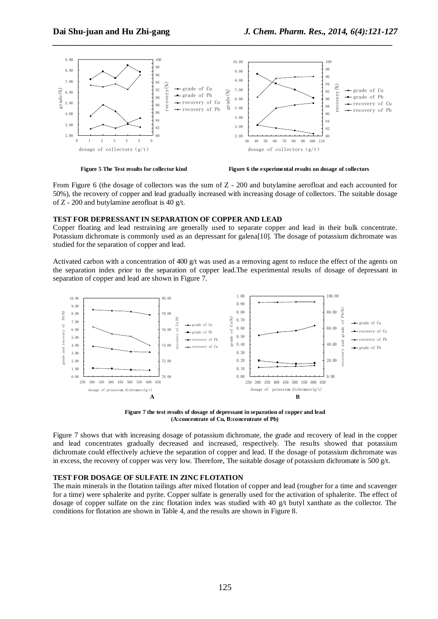

*\_\_\_\_\_\_\_\_\_\_\_\_\_\_\_\_\_\_\_\_\_\_\_\_\_\_\_\_\_\_\_\_\_\_\_\_\_\_\_\_\_\_\_\_\_\_\_\_\_\_\_\_\_\_\_\_\_\_\_\_\_\_\_\_\_\_\_\_\_\_\_\_\_\_\_\_\_*



**Figure 5 The Test results for collector kind Figure 6 the experimental results on dosage of collectors**

From Figure 6 (the dosage of collectors was the sum of Z - 200 and butylamine aerofloat and each accounted for 50%), the recovery of copper and lead gradually increased with increasing dosage of collectors. The suitable dosage of Z - 200 and butylamine aerofloat is 40 g/t.

#### **TEST FOR DEPRESSANT IN SEPARATION OF COPPER AND LEAD**

Copper floating and lead restraining are generally used to separate copper and lead in their bulk concentrate. Potassium dichromate is commonly used as an depressant for galena[10]. The dosage of potassium dichromate was studied for the separation of copper and lead.

Activated carbon with a concentration of 400  $g/t$  was used as a removing agent to reduce the effect of the agents on the separation index prior to the separation of copper lead.The experimental results of dosage of depressant in separation of copper and lead are shown in Figure 7.



**Figure 7 the test results of dosage of depressant in separation of copper and lead (A:concentrate of Cu, B:concentrate of Pb)**

Figure 7 shows that with increasing dosage of potassium dichromate, the grade and recovery of lead in the copper and lead concentrates gradually decreased and increased, respectively. The results showed that potassium dichromate could effectively achieve the separation of copper and lead. If the dosage of potassium dichromate was in excess, the recovery of copper was very low. Therefore, The suitable dosage of potassium dichromate is 500 g/t.

### **TEST FOR DOSAGE OF SULFATE IN ZINC FLOTATION**

The main minerals in the flotation tailings after mixed flotation of copper and lead (rougher for a time and scavenger for a time) were sphalerite and pyrite. Copper sulfate is generally used for the activation of sphalerite. The effect of dosage of copper sulfate on the zinc flotation index was studied with 40 g/t butyl xanthate as the collector. The conditions for flotation are shown in Table 4, and the results are shown in Figure 8.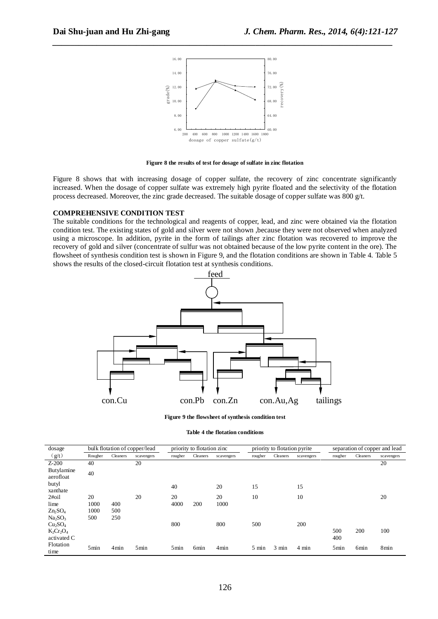

*\_\_\_\_\_\_\_\_\_\_\_\_\_\_\_\_\_\_\_\_\_\_\_\_\_\_\_\_\_\_\_\_\_\_\_\_\_\_\_\_\_\_\_\_\_\_\_\_\_\_\_\_\_\_\_\_\_\_\_\_\_\_\_\_\_\_\_\_\_\_\_\_\_\_\_\_\_*

**Figure 8 the results of test for dosage of sulfate in zinc flotation**

Figure 8 shows that with increasing dosage of copper sulfate, the recovery of zinc concentrate significantly increased. When the dosage of copper sulfate was extremely high pyrite floated and the selectivity of the flotation process decreased. Moreover, the zinc grade decreased. The suitable dosage of copper sulfate was 800 g/t.

#### **COMPREHENSIVE CONDITION TEST**

The suitable conditions for the technological and reagents of copper, lead, and zinc were obtained via the flotation condition test. The existing states of gold and silver were not shown ,because they were not observed when analyzed using a microscope. In addition, pyrite in the form of tailings after zinc flotation was recovered to improve the recovery of gold and silver (concentrate of sulfur was not obtained because of the low pyrite content in the ore). The flowsheet of synthesis condition test is shown in Figure 9, and the flotation conditions are shown in Table 4. Table 5 shows the results of the closed-circuit flotation test at synthesis conditions.



**Figure 9 the flowsheet of synthesis condition test**

| Table 4 the flotation conditions |  |  |
|----------------------------------|--|--|
|----------------------------------|--|--|

| dosage                          |         |          | bulk flotation of copper/lead |         | priority to flotation zinc |            | priority to flotation pyrite |                 |                 | separation of copper and lead |          |            |
|---------------------------------|---------|----------|-------------------------------|---------|----------------------------|------------|------------------------------|-----------------|-----------------|-------------------------------|----------|------------|
| (g/t)                           | Rougher | Cleaners | scavengers                    | rougher | Cleaners                   | scavengers | rougher                      | Cleaners        | scavengers      | rougher                       | Cleaners | scavengers |
| $Z-200$                         | 40      |          | 20                            |         |                            |            |                              |                 |                 |                               |          | 20         |
| Butylamine<br>aerofloat         | 40      |          |                               |         |                            |            |                              |                 |                 |                               |          |            |
| butyl<br>xanthate               |         |          |                               | 40      |                            | 20         | 15                           |                 | 15              |                               |          |            |
| $2\#oil$                        | 20      |          | 20                            | 20      |                            | 20         | 10                           |                 | 10              |                               |          | 20         |
| lime                            | 1000    | 400      |                               | 4000    | 200                        | 1000       |                              |                 |                 |                               |          |            |
| $Zn_2SO_4$                      | 1000    | 500      |                               |         |                            |            |                              |                 |                 |                               |          |            |
| Na <sub>2</sub> SO <sub>3</sub> | 500     | 250      |                               |         |                            |            |                              |                 |                 |                               |          |            |
| Cu <sub>2</sub> SO <sub>4</sub> |         |          |                               | 800     |                            | 800        | 500                          |                 | 200             |                               |          |            |
| $K_2Cr_2O_4$                    |         |          |                               |         |                            |            |                              |                 |                 | 500                           | 200      | 100        |
| activated C                     |         |          |                               |         |                            |            |                              |                 |                 | 400                           |          |            |
| Flotation<br>time               | 5min    | 4min     | 5min                          | 5min    | 6 <sub>min</sub>           | 4min       | $5 \text{ min}$              | $3 \text{ min}$ | $4 \text{ min}$ | 5min                          | 6min     | 8min       |